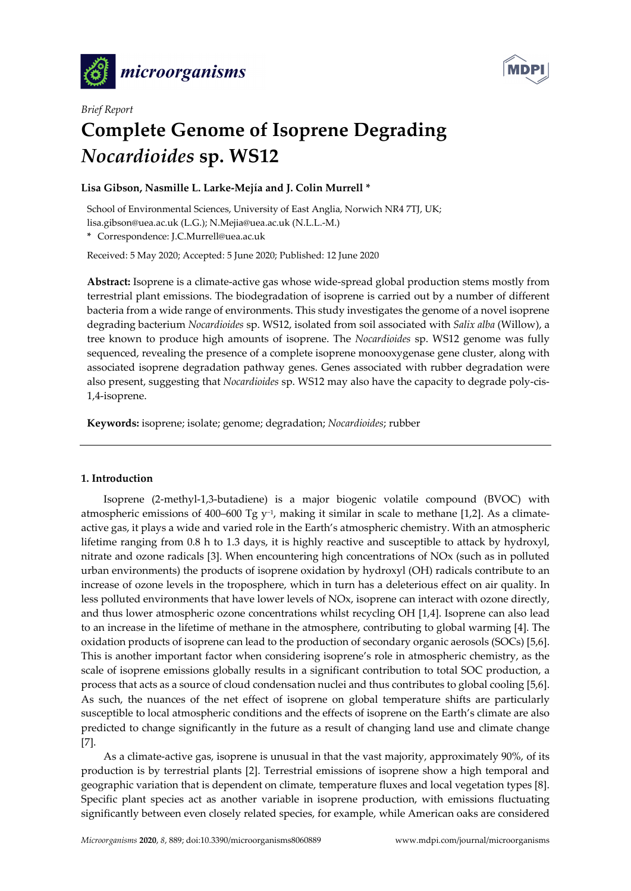



# *Brief Report*  **Complete Genome of Isoprene Degrading**  *Nocardioides* **sp. WS12**

# **Lisa Gibson, Nasmille L. Larke-Mejía and J. Colin Murrell \***

School of Environmental Sciences, University of East Anglia, Norwich NR4 7TJ, UK; lisa.gibson@uea.ac.uk (L.G.); N.Mejia@uea.ac.uk (N.L.L.-M.)

**\*** Correspondence: J.C.Murrell@uea.ac.uk

Received: 5 May 2020; Accepted: 5 June 2020; Published: 12 June 2020

**Abstract:** Isoprene is a climate-active gas whose wide-spread global production stems mostly from terrestrial plant emissions. The biodegradation of isoprene is carried out by a number of different bacteria from a wide range of environments. This study investigates the genome of a novel isoprene degrading bacterium *Nocardioides* sp. WS12, isolated from soil associated with *Salix alba* (Willow), a tree known to produce high amounts of isoprene. The *Nocardioides* sp. WS12 genome was fully sequenced, revealing the presence of a complete isoprene monooxygenase gene cluster, along with associated isoprene degradation pathway genes. Genes associated with rubber degradation were also present, suggesting that *Nocardioides* sp. WS12 may also have the capacity to degrade poly-cis-1,4-isoprene.

**Keywords:** isoprene; isolate; genome; degradation; *Nocardioides*; rubber

### **1. Introduction**

Isoprene (2-methyl-1,3-butadiene) is a major biogenic volatile compound (BVOC) with atmospheric emissions of 400–600 Tg y−1, making it similar in scale to methane [1,2]. As a climateactive gas, it plays a wide and varied role in the Earth's atmospheric chemistry. With an atmospheric lifetime ranging from 0.8 h to 1.3 days, it is highly reactive and susceptible to attack by hydroxyl, nitrate and ozone radicals [3]. When encountering high concentrations of NOx (such as in polluted urban environments) the products of isoprene oxidation by hydroxyl (OH) radicals contribute to an increase of ozone levels in the troposphere, which in turn has a deleterious effect on air quality. In less polluted environments that have lower levels of NOx, isoprene can interact with ozone directly, and thus lower atmospheric ozone concentrations whilst recycling OH [1,4]. Isoprene can also lead to an increase in the lifetime of methane in the atmosphere, contributing to global warming [4]. The oxidation products of isoprene can lead to the production of secondary organic aerosols (SOCs) [5,6]. This is another important factor when considering isoprene's role in atmospheric chemistry, as the scale of isoprene emissions globally results in a significant contribution to total SOC production, a process that acts as a source of cloud condensation nuclei and thus contributes to global cooling [5,6]. As such, the nuances of the net effect of isoprene on global temperature shifts are particularly susceptible to local atmospheric conditions and the effects of isoprene on the Earth's climate are also predicted to change significantly in the future as a result of changing land use and climate change [7].

As a climate-active gas, isoprene is unusual in that the vast majority, approximately 90%, of its production is by terrestrial plants [2]. Terrestrial emissions of isoprene show a high temporal and geographic variation that is dependent on climate, temperature fluxes and local vegetation types [8]. Specific plant species act as another variable in isoprene production, with emissions fluctuating significantly between even closely related species, for example, while American oaks are considered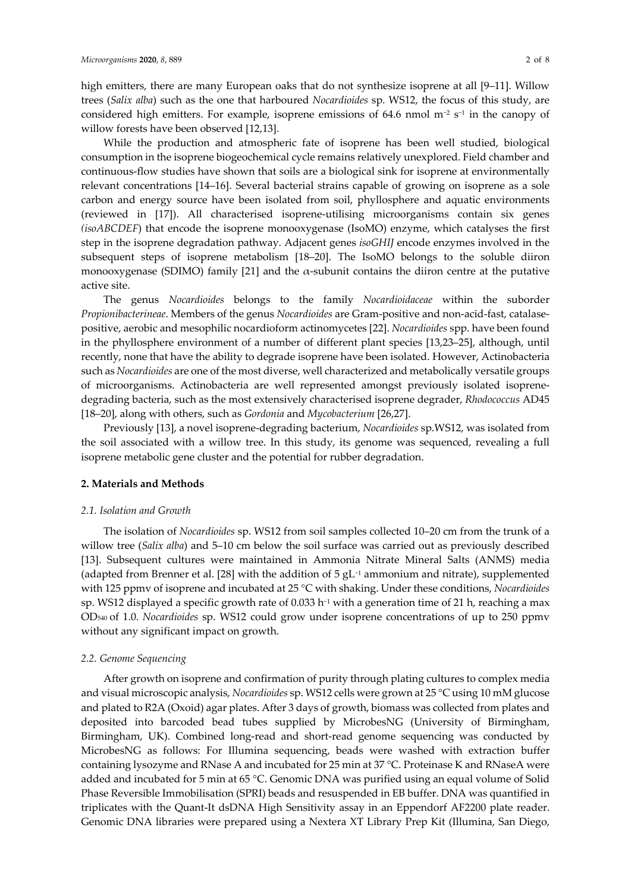While the production and atmospheric fate of isoprene has been well studied, biological consumption in the isoprene biogeochemical cycle remains relatively unexplored. Field chamber and continuous-flow studies have shown that soils are a biological sink for isoprene at environmentally relevant concentrations [14–16]. Several bacterial strains capable of growing on isoprene as a sole carbon and energy source have been isolated from soil, phyllosphere and aquatic environments (reviewed in [17]). All characterised isoprene-utilising microorganisms contain six genes *(isoABCDEF*) that encode the isoprene monooxygenase (IsoMO) enzyme, which catalyses the first step in the isoprene degradation pathway. Adjacent genes *isoGHIJ* encode enzymes involved in the subsequent steps of isoprene metabolism [18–20]. The IsoMO belongs to the soluble diiron monooxygenase (SDIMO) family [21] and the  $\alpha$ -subunit contains the diiron centre at the putative active site.

The genus *Nocardioides* belongs to the family *Nocardioidaceae* within the suborder *Propionibacterineae*. Members of the genus *Nocardioides* are Gram-positive and non-acid-fast, catalasepositive, aerobic and mesophilic nocardioform actinomycetes [22]. *Nocardioides* spp. have been found in the phyllosphere environment of a number of different plant species [13,23–25], although, until recently, none that have the ability to degrade isoprene have been isolated. However, Actinobacteria such as *Nocardioides* are one of the most diverse, well characterized and metabolically versatile groups of microorganisms. Actinobacteria are well represented amongst previously isolated isoprenedegrading bacteria, such as the most extensively characterised isoprene degrader, *Rhodococcus* AD45 [18–20], along with others, such as *Gordonia* and *Mycobacterium* [26,27].

Previously [13], a novel isoprene-degrading bacterium, *Nocardioides* sp.WS12, was isolated from the soil associated with a willow tree. In this study, its genome was sequenced, revealing a full isoprene metabolic gene cluster and the potential for rubber degradation.

#### **2. Materials and Methods**

#### *2.1. Isolation and Growth*

The isolation of *Nocardioides* sp. WS12 from soil samples collected 10–20 cm from the trunk of a willow tree (*Salix alba*) and 5–10 cm below the soil surface was carried out as previously described [13]. Subsequent cultures were maintained in Ammonia Nitrate Mineral Salts (ANMS) media (adapted from Brenner et al. [28] with the addition of 5 gL−1 ammonium and nitrate), supplemented with 125 ppmv of isoprene and incubated at 25 °C with shaking. Under these conditions, *Nocardioides*  sp. WS12 displayed a specific growth rate of 0.033 h<sup>-1</sup> with a generation time of 21 h, reaching a max OD540 of 1.0. *Nocardioides* sp. WS12 could grow under isoprene concentrations of up to 250 ppmv without any significant impact on growth.

#### *2.2. Genome Sequencing*

After growth on isoprene and confirmation of purity through plating cultures to complex media and visual microscopic analysis, *Nocardioides* sp. WS12 cells were grown at 25 °C using 10 mM glucose and plated to R2A (Oxoid) agar plates. After 3 days of growth, biomass was collected from plates and deposited into barcoded bead tubes supplied by MicrobesNG (University of Birmingham, Birmingham, UK). Combined long-read and short-read genome sequencing was conducted by MicrobesNG as follows: For Illumina sequencing, beads were washed with extraction buffer containing lysozyme and RNase A and incubated for 25 min at 37 °C. Proteinase K and RNaseA were added and incubated for 5 min at 65 °C. Genomic DNA was purified using an equal volume of Solid Phase Reversible Immobilisation (SPRI) beads and resuspended in EB buffer. DNA was quantified in triplicates with the Quant-It dsDNA High Sensitivity assay in an Eppendorf AF2200 plate reader. Genomic DNA libraries were prepared using a Nextera XT Library Prep Kit (Illumina, San Diego,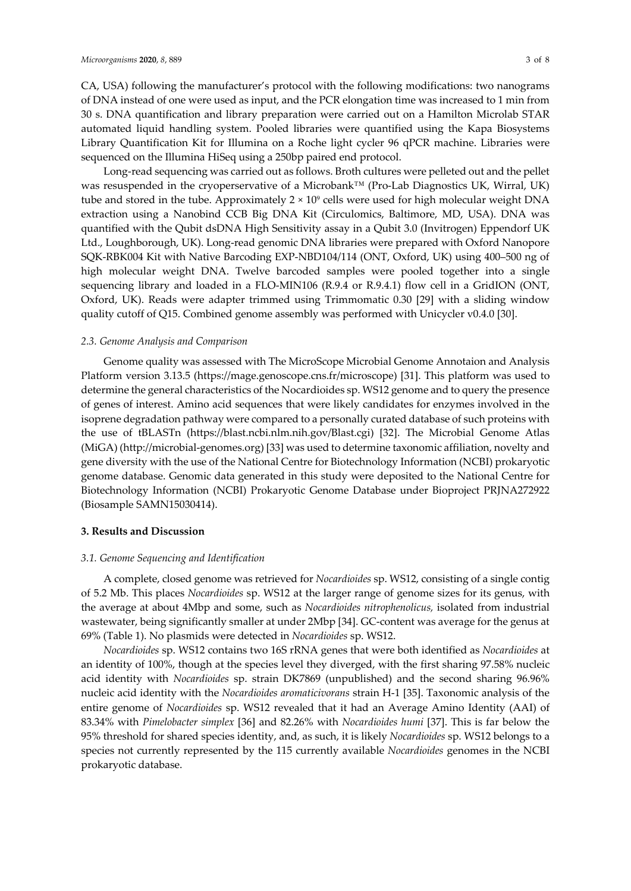CA, USA) following the manufacturer's protocol with the following modifications: two nanograms of DNA instead of one were used as input, and the PCR elongation time was increased to 1 min from 30 s. DNA quantification and library preparation were carried out on a Hamilton Microlab STAR automated liquid handling system. Pooled libraries were quantified using the Kapa Biosystems Library Quantification Kit for Illumina on a Roche light cycler 96 qPCR machine. Libraries were sequenced on the Illumina HiSeq using a 250bp paired end protocol.

Long-read sequencing was carried out as follows. Broth cultures were pelleted out and the pellet was resuspended in the cryoperservative of a Microbank™ (Pro-Lab Diagnostics UK, Wirral, UK) tube and stored in the tube. Approximately 2 × 10<sup>9</sup> cells were used for high molecular weight DNA extraction using a Nanobind CCB Big DNA Kit (Circulomics, Baltimore, MD, USA). DNA was quantified with the Qubit dsDNA High Sensitivity assay in a Qubit 3.0 (Invitrogen) Eppendorf UK Ltd., Loughborough, UK). Long-read genomic DNA libraries were prepared with Oxford Nanopore SQK-RBK004 Kit with Native Barcoding EXP-NBD104/114 (ONT, Oxford, UK) using 400–500 ng of high molecular weight DNA. Twelve barcoded samples were pooled together into a single sequencing library and loaded in a FLO-MIN106 (R.9.4 or R.9.4.1) flow cell in a GridION (ONT, Oxford, UK). Reads were adapter trimmed using Trimmomatic 0.30 [29] with a sliding window quality cutoff of Q15. Combined genome assembly was performed with Unicycler v0.4.0 [30].

#### *2.3. Genome Analysis and Comparison*

Genome quality was assessed with The MicroScope Microbial Genome Annotaion and Analysis Platform version 3.13.5 (https://mage.genoscope.cns.fr/microscope) [31]. This platform was used to determine the general characteristics of the Nocardioides sp. WS12 genome and to query the presence of genes of interest. Amino acid sequences that were likely candidates for enzymes involved in the isoprene degradation pathway were compared to a personally curated database of such proteins with the use of tBLASTn (https://blast.ncbi.nlm.nih.gov/Blast.cgi) [32]. The Microbial Genome Atlas (MiGA) (http://microbial-genomes.org) [33] was used to determine taxonomic affiliation, novelty and gene diversity with the use of the National Centre for Biotechnology Information (NCBI) prokaryotic genome database. Genomic data generated in this study were deposited to the National Centre for Biotechnology Information (NCBI) Prokaryotic Genome Database under Bioproject PRJNA272922 (Biosample SAMN15030414).

#### **3. Results and Discussion**

#### *3.1. Genome Sequencing and Identification*

A complete, closed genome was retrieved for *Nocardioides* sp. WS12, consisting of a single contig of 5.2 Mb. This places *Nocardioides* sp. WS12 at the larger range of genome sizes for its genus, with the average at about 4Mbp and some, such as *Nocardioides nitrophenolicus,* isolated from industrial wastewater, being significantly smaller at under 2Mbp [34]. GC-content was average for the genus at 69% (Table 1). No plasmids were detected in *Nocardioides* sp. WS12.

*Nocardioides* sp. WS12 contains two 16S rRNA genes that were both identified as *Nocardioides* at an identity of 100%, though at the species level they diverged, with the first sharing 97.58% nucleic acid identity with *Nocardioides* sp. strain DK7869 (unpublished) and the second sharing 96.96% nucleic acid identity with the *Nocardioides aromaticivorans* strain H-1 [35]. Taxonomic analysis of the entire genome of *Nocardioides* sp. WS12 revealed that it had an Average Amino Identity (AAI) of 83.34% with *Pimelobacter simplex* [36] and 82.26% with *Nocardioides humi* [37]. This is far below the 95% threshold for shared species identity, and, as such, it is likely *Nocardioides* sp. WS12 belongs to a species not currently represented by the 115 currently available *Nocardioides* genomes in the NCBI prokaryotic database.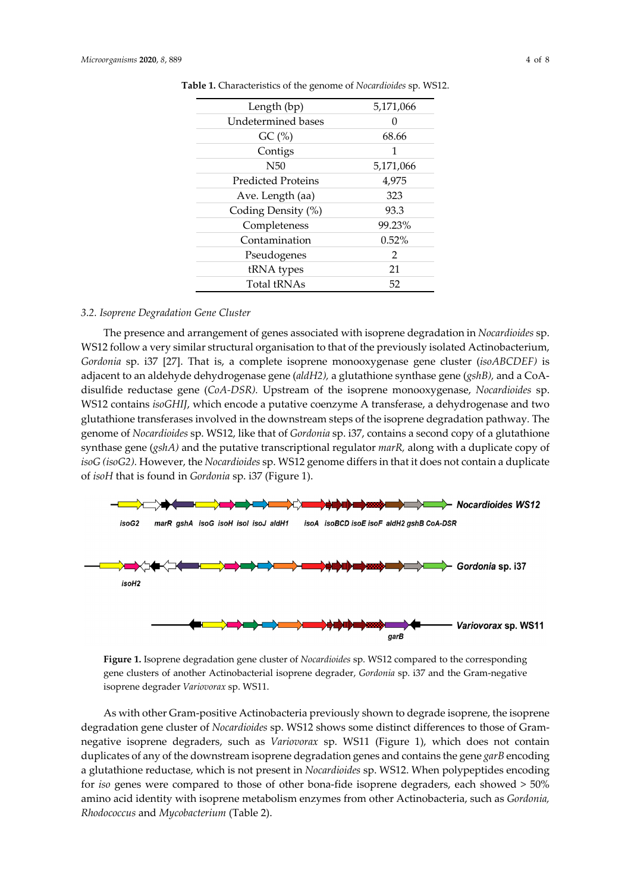| Length (bp)               | 5,171,066 |  |  |
|---------------------------|-----------|--|--|
| Undetermined bases        | 0         |  |  |
| GC(%)                     | 68.66     |  |  |
| Contigs                   | 1         |  |  |
| N50                       | 5,171,066 |  |  |
| <b>Predicted Proteins</b> | 4,975     |  |  |
| Ave. Length (aa)          | 323       |  |  |
| Coding Density (%)        | 93.3      |  |  |
| Completeness              | 99.23%    |  |  |
| Contamination             | $0.52\%$  |  |  |
| Pseudogenes               | 2         |  |  |
| tRNA types                | 21        |  |  |
| <b>Total tRNAs</b>        | 52        |  |  |

**Table 1.** Characteristics of the genome of *Nocardioides* sp. WS12.

#### *3.2. Isoprene Degradation Gene Cluster*

The presence and arrangement of genes associated with isoprene degradation in *Nocardioides* sp. WS12 follow a very similar structural organisation to that of the previously isolated Actinobacterium, *Gordonia* sp. i37 [27]. That is, a complete isoprene monooxygenase gene cluster (*isoABCDEF)* is adjacent to an aldehyde dehydrogenase gene (*aldH2),* a glutathione synthase gene (*gshB),* and a CoAdisulfide reductase gene (*CoA-DSR).* Upstream of the isoprene monooxygenase, *Nocardioides* sp. WS12 contains *isoGHIJ*, which encode a putative coenzyme A transferase, a dehydrogenase and two glutathione transferases involved in the downstream steps of the isoprene degradation pathway*.* The genome of *Nocardioides* sp. WS12, like that of *Gordonia* sp. i37, contains a second copy of a glutathione synthase gene (*gshA)* and the putative transcriptional regulator *marR,* along with a duplicate copy of *isoG (isoG2).* However, the *Nocardioides* sp. WS12 genome differs in that it does not contain a duplicate of *isoH* that is found in *Gordonia* sp. i37 (Figure 1).



**Figure 1.** Isoprene degradation gene cluster of *Nocardioides* sp. WS12 compared to the corresponding gene clusters of another Actinobacterial isoprene degrader, *Gordonia* sp. i37 and the Gram-negative isoprene degrader *Variovorax* sp. WS11.

As with other Gram-positive Actinobacteria previously shown to degrade isoprene, the isoprene degradation gene cluster of *Nocardioides* sp. WS12 shows some distinct differences to those of Gramnegative isoprene degraders, such as *Variovorax* sp. WS11 (Figure 1), which does not contain duplicates of any of the downstream isoprene degradation genes and contains the gene *garB* encoding a glutathione reductase, which is not present in *Nocardioides* sp. WS12. When polypeptides encoding for *iso* genes were compared to those of other bona-fide isoprene degraders, each showed > 50% amino acid identity with isoprene metabolism enzymes from other Actinobacteria, such as *Gordonia, Rhodococcus* and *Mycobacterium* (Table 2).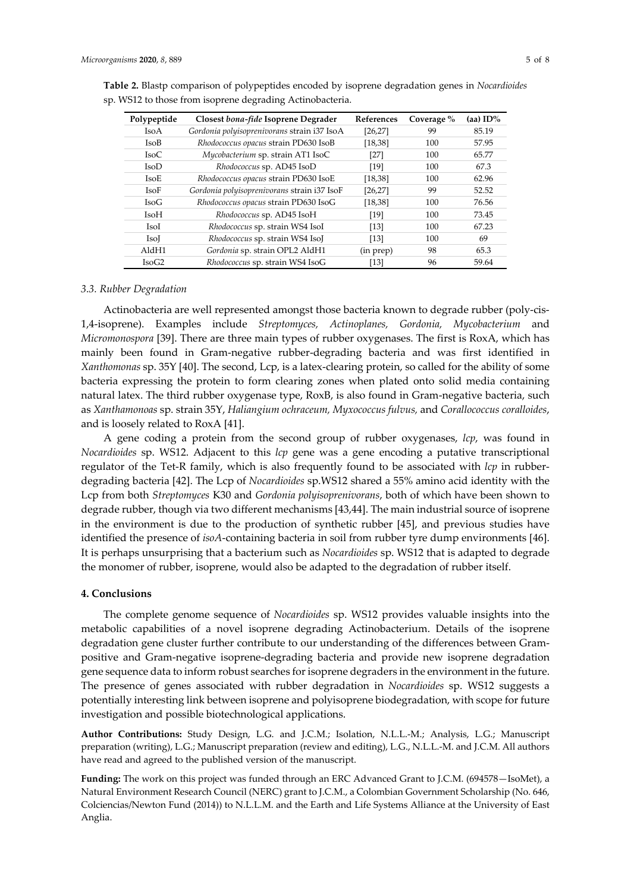| Polypeptide             | Closest bona-fide Isoprene Degrader         | References | Coverage % | (aa) ID% |
|-------------------------|---------------------------------------------|------------|------------|----------|
| <b>IsoA</b>             | Gordonia polyisoprenivorans strain i37 IsoA | [26, 27]   | 99         | 85.19    |
| <b>IsoB</b>             | Rhodococcus opacus strain PD630 IsoB        | [18, 38]   | 100        | 57.95    |
| IsoC                    | Mycobacterium sp. strain AT1 IsoC           | $[27]$     | 100        | 65.77    |
| <b>IsoD</b>             | Rhodococcus sp. AD45 IsoD                   | [19]       | 100        | 67.3     |
| <b>IsoE</b>             | Rhodococcus opacus strain PD630 IsoE        | [18, 38]   | 100        | 62.96    |
| <b>IsoF</b>             | Gordonia polyisoprenivorans strain i37 IsoF | [26, 27]   | 99         | 52.52    |
| <b>IsoG</b>             | Rhodococcus opacus strain PD630 IsoG        | [18, 38]   | 100        | 76.56    |
| <b>IsoH</b>             | Rhodococcus sp. AD45 IsoH                   | [19]       | 100        | 73.45    |
| IsoI                    | Rhodococcus sp. strain WS4 IsoI             | $[13]$     | 100        | 67.23    |
| <b>Iso</b> <sub>I</sub> | Rhodococcus sp. strain WS4 IsoJ             | $[13]$     | 100        | 69       |
| AldH1                   | Gordonia sp. strain OPL2 AldH1              | (in prep)  | 98         | 65.3     |
| IsoG2                   | Rhodococcus sp. strain WS4 IsoG             | [13]       | 96         | 59.64    |

**Table 2.** Blastp comparison of polypeptides encoded by isoprene degradation genes in *Nocardioides* sp. WS12 to those from isoprene degrading Actinobacteria.

## *3.3. Rubber Degradation*

Actinobacteria are well represented amongst those bacteria known to degrade rubber (poly-cis-1,4-isoprene). Examples include *Streptomyces, Actinoplanes, Gordonia, Mycobacterium* and *Micromonospora* [39]. There are three main types of rubber oxygenases. The first is RoxA, which has mainly been found in Gram-negative rubber-degrading bacteria and was first identified in *Xanthomonas* sp. 35Y [40]. The second, Lcp, is a latex-clearing protein, so called for the ability of some bacteria expressing the protein to form clearing zones when plated onto solid media containing natural latex. The third rubber oxygenase type, RoxB, is also found in Gram-negative bacteria, such as *Xanthamonoas* sp. strain 35Y, *Haliangium ochraceum, Myxococcus fulvus,* and *Corallococcus coralloides*, and is loosely related to RoxA [41].

A gene coding a protein from the second group of rubber oxygenases, *lcp*, was found in *Nocardioides* sp. WS12. Adjacent to this *lcp* gene was a gene encoding a putative transcriptional regulator of the Tet-R family, which is also frequently found to be associated with *lcp* in rubberdegrading bacteria [42]. The Lcp of *Nocardioides* sp.WS12 shared a 55% amino acid identity with the Lcp from both *Streptomyces* K30 and *Gordonia polyisoprenivorans*, both of which have been shown to degrade rubber, though via two different mechanisms [43,44]. The main industrial source of isoprene in the environment is due to the production of synthetic rubber [45], and previous studies have identified the presence of *isoA*-containing bacteria in soil from rubber tyre dump environments [46]. It is perhaps unsurprising that a bacterium such as *Nocardioides* sp. WS12 that is adapted to degrade the monomer of rubber, isoprene, would also be adapted to the degradation of rubber itself.

#### **4. Conclusions**

The complete genome sequence of *Nocardioides* sp. WS12 provides valuable insights into the metabolic capabilities of a novel isoprene degrading Actinobacterium. Details of the isoprene degradation gene cluster further contribute to our understanding of the differences between Grampositive and Gram-negative isoprene-degrading bacteria and provide new isoprene degradation gene sequence data to inform robust searches for isoprene degraders in the environment in the future. The presence of genes associated with rubber degradation in *Nocardioides* sp. WS12 suggests a potentially interesting link between isoprene and polyisoprene biodegradation, with scope for future investigation and possible biotechnological applications.

**Author Contributions:** Study Design, L.G. and J.C.M.; Isolation, N.L.L.-M.; Analysis, L.G.; Manuscript preparation (writing), L.G.; Manuscript preparation (review and editing), L.G., N.L.L.-M. and J.C.M. All authors have read and agreed to the published version of the manuscript.

**Funding:** The work on this project was funded through an ERC Advanced Grant to J.C.M. (694578—IsoMet), a Natural Environment Research Council (NERC) grant to J.C.M., a Colombian Government Scholarship (No. 646, Colciencias/Newton Fund (2014)) to N.L.L.M. and the Earth and Life Systems Alliance at the University of East Anglia.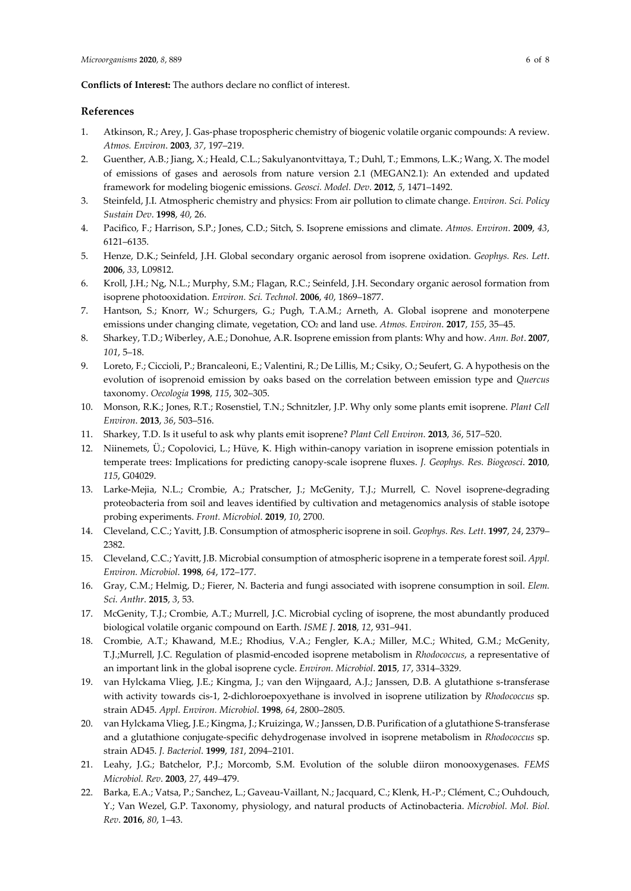#### **Conflicts of Interest:** The authors declare no conflict of interest.

#### **References**

- 1. Atkinson, R.; Arey, J. Gas-phase tropospheric chemistry of biogenic volatile organic compounds: A review. *Atmos. Environ*. **2003**, *37*, 197–219.
- 2. Guenther, A.B.; Jiang, X.; Heald, C.L.; Sakulyanontvittaya, T.; Duhl, T.; Emmons, L.K.; Wang, X. The model of emissions of gases and aerosols from nature version 2.1 (MEGAN2.1): An extended and updated framework for modeling biogenic emissions. *Geosci. Model. Dev*. **2012**, *5*, 1471–1492.
- 3. Steinfeld, J.I. Atmospheric chemistry and physics: From air pollution to climate change. *Environ. Sci. Policy Sustain Dev*. **1998**, *40*, 26.
- 4. Pacifico, F.; Harrison, S.P.; Jones, C.D.; Sitch, S. Isoprene emissions and climate. *Atmos. Environ*. **2009**, *43*, 6121–6135.
- 5. Henze, D.K.; Seinfeld, J.H. Global secondary organic aerosol from isoprene oxidation. *Geophys. Res. Lett*. **2006**, *33*, L09812.
- 6. Kroll, J.H.; Ng, N.L.; Murphy, S.M.; Flagan, R.C.; Seinfeld, J.H. Secondary organic aerosol formation from isoprene photooxidation. *Environ. Sci. Technol*. **2006**, *40*, 1869–1877.
- 7. Hantson, S.; Knorr, W.; Schurgers, G.; Pugh, T.A.M.; Arneth, A. Global isoprene and monoterpene emissions under changing climate, vegetation, CO2 and land use. *Atmos. Environ*. **2017**, *155*, 35–45.
- 8. Sharkey, T.D.; Wiberley, A.E.; Donohue, A.R. Isoprene emission from plants: Why and how. *Ann. Bot*. **2007**, *101*, 5–18.
- 9. Loreto, F.; Ciccioli, P.; Brancaleoni, E.; Valentini, R.; De Lillis, M.; Csiky, O.; Seufert, G. A hypothesis on the evolution of isoprenoid emission by oaks based on the correlation between emission type and *Quercus* taxonomy. *Oecologia* **1998**, *115*, 302–305.
- 10. Monson, R.K.; Jones, R.T.; Rosenstiel, T.N.; Schnitzler, J.P. Why only some plants emit isoprene. *Plant Cell Environ*. **2013**, *36*, 503–516.
- 11. Sharkey, T.D. Is it useful to ask why plants emit isoprene? *Plant Cell Environ*. **2013**, *36*, 517–520.
- 12. Niinemets, Ü.; Copolovici, L.; Hüve, K. High within-canopy variation in isoprene emission potentials in temperate trees: Implications for predicting canopy-scale isoprene fluxes. *J. Geophys. Res. Biogeosci*. **2010**, *115*, G04029.
- 13. Larke-Mejia, N.L.; Crombie, A.; Pratscher, J.; McGenity, T.J.; Murrell, C. Novel isoprene-degrading proteobacteria from soil and leaves identified by cultivation and metagenomics analysis of stable isotope probing experiments. *Front. Microbiol*. **2019**, *10*, 2700.
- 14. Cleveland, C.C.; Yavitt, J.B. Consumption of atmospheric isoprene in soil. *Geophys. Res. Lett*. **1997**, *24*, 2379– 2382.
- 15. Cleveland, C.C.; Yavitt, J.B. Microbial consumption of atmospheric isoprene in a temperate forest soil. *Appl. Environ. Microbiol*. **1998**, *64*, 172–177.
- 16. Gray, C.M.; Helmig, D.; Fierer, N. Bacteria and fungi associated with isoprene consumption in soil. *Elem. Sci. Anthr*. **2015**, *3*, 53.
- 17. McGenity, T.J.; Crombie, A.T.; Murrell, J.C. Microbial cycling of isoprene, the most abundantly produced biological volatile organic compound on Earth. *ISME J*. **2018**, *12*, 931–941.
- 18. Crombie, A.T.; Khawand, M.E.; Rhodius, V.A.; Fengler, K.A.; Miller, M.C.; Whited, G.M.; McGenity, T.J.;Murrell, J.C. Regulation of plasmid-encoded isoprene metabolism in *Rhodococcus*, a representative of an important link in the global isoprene cycle. *Environ. Microbiol*. **2015**, *17*, 3314–3329.
- 19. van Hylckama Vlieg, J.E.; Kingma, J.; van den Wijngaard, A.J.; Janssen, D.B. A glutathione s-transferase with activity towards cis-1, 2-dichloroepoxyethane is involved in isoprene utilization by *Rhodococcus* sp. strain AD45. *Appl. Environ. Microbiol*. **1998**, *64*, 2800–2805.
- 20. van Hylckama Vlieg, J.E.; Kingma, J.; Kruizinga, W.; Janssen, D.B. Purification of a glutathione S-transferase and a glutathione conjugate-specific dehydrogenase involved in isoprene metabolism in *Rhodococcus* sp. strain AD45. *J. Bacteriol*. **1999**, *181*, 2094–2101.
- 21. Leahy, J.G.; Batchelor, P.J.; Morcomb, S.M. Evolution of the soluble diiron monooxygenases. *FEMS Microbiol. Rev*. **2003**, *27*, 449–479.
- 22. Barka, E.A.; Vatsa, P.; Sanchez, L.; Gaveau-Vaillant, N.; Jacquard, C.; Klenk, H.-P.; Clément, C.; Ouhdouch, Y.; Van Wezel, G.P. Taxonomy, physiology, and natural products of Actinobacteria. *Microbiol. Mol. Biol. Rev*. **2016**, *80*, 1–43.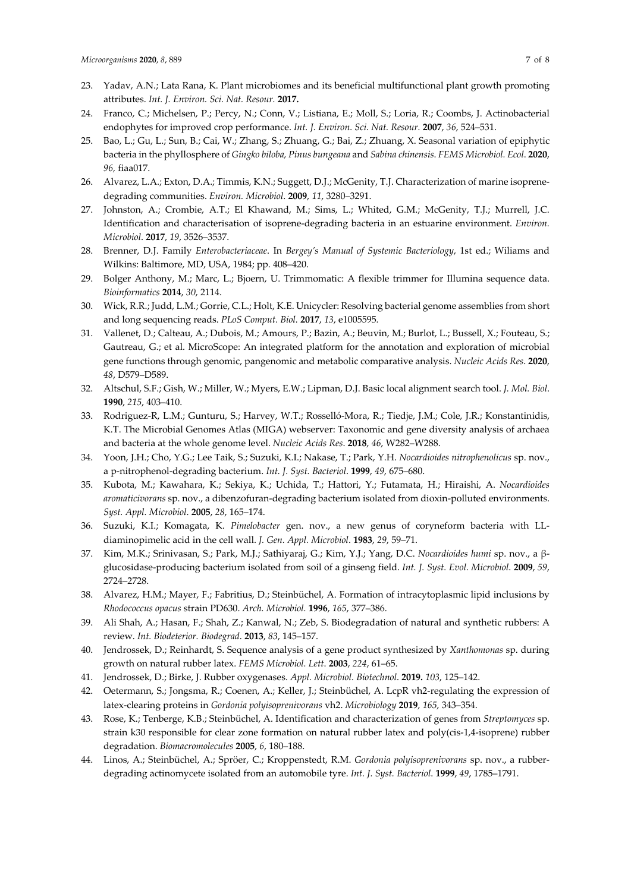- 23. Yadav, A.N.; Lata Rana, K. Plant microbiomes and its beneficial multifunctional plant growth promoting attributes. *Int. J. Environ. Sci. Nat. Resour.* **2017.**
- 24. Franco, C.; Michelsen, P.; Percy, N.; Conn, V.; Listiana, E.; Moll, S.; Loria, R.; Coombs, J. Actinobacterial endophytes for improved crop performance. *Int. J. Environ. Sci. Nat. Resour.* **2007**, *36*, 524–531.
- 25. Bao, L.; Gu, L.; Sun, B.; Cai, W.; Zhang, S.; Zhuang, G.; Bai, Z.; Zhuang, X. Seasonal variation of epiphytic bacteria in the phyllosphere of *Gingko biloba, Pinus bungeana* and *Sabina chinensis*. *FEMS Microbiol. Ecol*. **2020**, *96,* fiaa017.
- 26. Alvarez, L.A.; Exton, D.A.; Timmis, K.N.; Suggett, D.J.; McGenity, T.J. Characterization of marine isoprenedegrading communities. *Environ. Microbiol*. **2009**, *11*, 3280–3291.
- 27. Johnston, A.; Crombie, A.T.; El Khawand, M.; Sims, L.; Whited, G.M.; McGenity, T.J.; Murrell, J.C. Identification and characterisation of isoprene-degrading bacteria in an estuarine environment. *Environ. Microbiol*. **2017**, *19*, 3526–3537.
- 28. Brenner, D.J. Family *Enterobacteriaceae*. In *Bergey's Manual of Systemic Bacteriology*, 1st ed.; Wiliams and Wilkins: Baltimore, MD, USA, 1984; pp. 408–420.
- 29. Bolger Anthony, M.; Marc, L.; Bjoern, U. Trimmomatic: A flexible trimmer for Illumina sequence data. *Bioinformatics* **2014**, *30*, 2114.
- 30. Wick, R.R.; Judd, L.M.; Gorrie, C.L.; Holt, K.E. Unicycler: Resolving bacterial genome assemblies from short and long sequencing reads. *PLoS Comput. Biol.* **2017**, *13*, e1005595*.*
- 31. Vallenet, D.; Calteau, A.; Dubois, M.; Amours, P.; Bazin, A.; Beuvin, M.; Burlot, L.; Bussell, X.; Fouteau, S.; Gautreau, G.; et al. MicroScope: An integrated platform for the annotation and exploration of microbial gene functions through genomic, pangenomic and metabolic comparative analysis. *Nucleic Acids Res*. **2020**, *48*, D579–D589.
- 32. Altschul, S.F.; Gish, W.; Miller, W.; Myers, E.W.; Lipman, D.J. Basic local alignment search tool. *J. Mol. Biol*. **1990**, *215*, 403–410.
- 33. Rodriguez-R, L.M.; Gunturu, S.; Harvey, W.T.; Rosselló-Mora, R.; Tiedje, J.M.; Cole, J.R.; Konstantinidis, K.T. The Microbial Genomes Atlas (MIGA) webserver: Taxonomic and gene diversity analysis of archaea and bacteria at the whole genome level. *Nucleic Acids Res*. **2018**, *46*, W282–W288.
- 34. Yoon, J.H.; Cho, Y.G.; Lee Taik, S.; Suzuki, K.I.; Nakase, T.; Park, Y.H. *Nocardioides nitrophenolicus* sp. nov., a p-nitrophenol-degrading bacterium. *Int. J. Syst. Bacteriol*. **1999**, *49*, 675–680.
- 35. Kubota, M.; Kawahara, K.; Sekiya, K.; Uchida, T.; Hattori, Y.; Futamata, H.; Hiraishi, A. *Nocardioides aromaticivorans* sp. nov., a dibenzofuran-degrading bacterium isolated from dioxin-polluted environments. *Syst. Appl. Microbiol*. **2005**, *28*, 165–174.
- 36. Suzuki, K.I.; Komagata, K. *Pimelobacter* gen. nov., a new genus of coryneform bacteria with LLdiaminopimelic acid in the cell wall. *J. Gen. Appl. Microbiol*. **1983**, *29*, 59–71.
- 37. Kim, M.K.; Srinivasan, S.; Park, M.J.; Sathiyaraj, G.; Kim, Y.J.; Yang, D.C. *Nocardioides humi* sp. nov., a βglucosidase-producing bacterium isolated from soil of a ginseng field. *Int. J. Syst. Evol. Microbiol*. **2009**, *59*, 2724–2728.
- 38. Alvarez, H.M.; Mayer, F.; Fabritius, D.; Steinbüchel, A. Formation of intracytoplasmic lipid inclusions by *Rhodococcus opacus* strain PD630. *Arch. Microbiol.* **1996**, *165*, 377–386.
- 39. Ali Shah, A.; Hasan, F.; Shah, Z.; Kanwal, N.; Zeb, S. Biodegradation of natural and synthetic rubbers: A review. *Int. Biodeterior. Biodegrad*. **2013**, *83*, 145–157.
- 40. Jendrossek, D.; Reinhardt, S. Sequence analysis of a gene product synthesized by *Xanthomonas* sp. during growth on natural rubber latex. *FEMS Microbiol. Lett*. **2003**, *224*, 61–65.
- 41. Jendrossek, D.; Birke, J. Rubber oxygenases. *Appl. Microbiol. Biotechnol*. **2019.** *103*, 125–142.
- 42. Oetermann, S.; Jongsma, R.; Coenen, A.; Keller, J.; Steinbüchel, A. LcpR vh2-regulating the expression of latex-clearing proteins in *Gordonia polyisoprenivorans* vh2. *Microbiology* **2019**, *165*, 343–354.
- 43. Rose, K.; Tenberge, K.B.; Steinbüchel, A. Identification and characterization of genes from *Streptomyces* sp. strain k30 responsible for clear zone formation on natural rubber latex and poly(cis-1,4-isoprene) rubber degradation. *Biomacromolecules* **2005**, *6*, 180–188.
- 44. Linos, A.; Steinbüchel, A.; Spröer, C.; Kroppenstedt, R.M. *Gordonia polyisoprenivorans* sp. nov., a rubberdegrading actinomycete isolated from an automobile tyre. *Int. J. Syst. Bacteriol*. **1999**, *49*, 1785–1791.